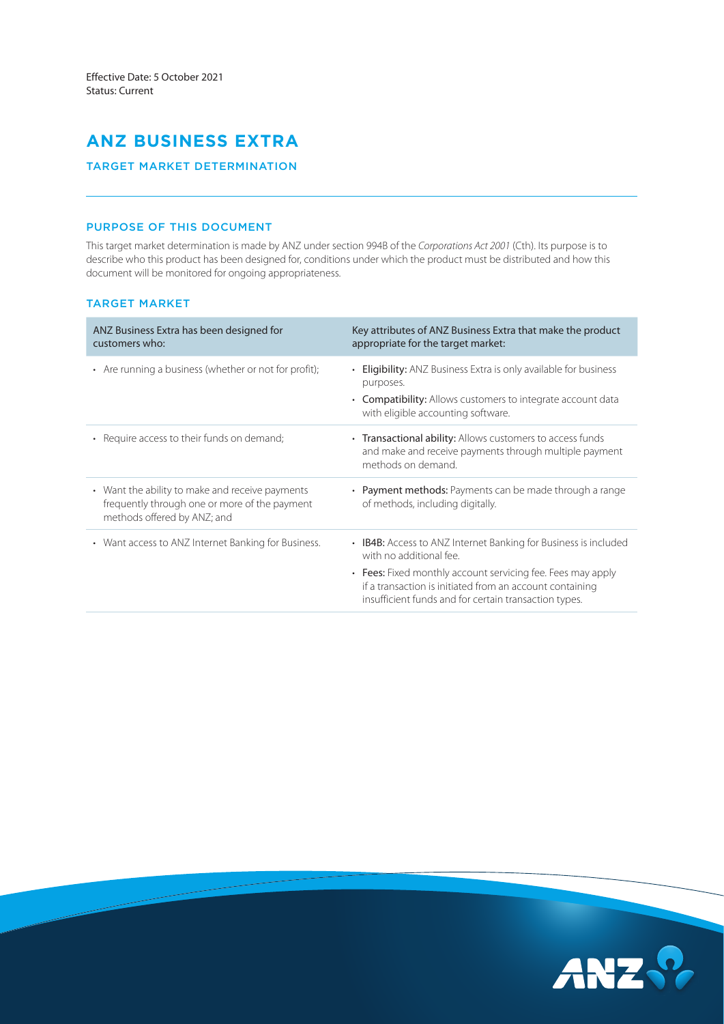# **ANZ BUSINESS EXTRA**

# TARGET MARKET DETERMINATION

# PURPOSE OF THIS DOCUMENT

This target market determination is made by ANZ under section 994B of the *Corporations Act 2001* (Cth). Its purpose is to describe who this product has been designed for, conditions under which the product must be distributed and how this document will be monitored for ongoing appropriateness.

### TARGET MARKET

| ANZ Business Extra has been designed for<br>customers who:                                                                      | Key attributes of ANZ Business Extra that make the product<br>appropriate for the target market:                                                                                 |
|---------------------------------------------------------------------------------------------------------------------------------|----------------------------------------------------------------------------------------------------------------------------------------------------------------------------------|
| • Are running a business (whether or not for profit);                                                                           | • Eligibility: ANZ Business Extra is only available for business<br>purposes.                                                                                                    |
|                                                                                                                                 | • Compatibility: Allows customers to integrate account data<br>with eligible accounting software.                                                                                |
| • Require access to their funds on demand;                                                                                      | • Transactional ability: Allows customers to access funds<br>and make and receive payments through multiple payment<br>methods on demand.                                        |
| • Want the ability to make and receive payments<br>frequently through one or more of the payment<br>methods offered by ANZ; and | • Payment methods: Payments can be made through a range<br>of methods, including digitally.                                                                                      |
| • Want access to ANZ Internet Banking for Business.                                                                             | • IB4B: Access to ANZ Internet Banking for Business is included<br>with no additional fee.                                                                                       |
|                                                                                                                                 | • Fees: Fixed monthly account servicing fee. Fees may apply<br>if a transaction is initiated from an account containing<br>insufficient funds and for certain transaction types. |

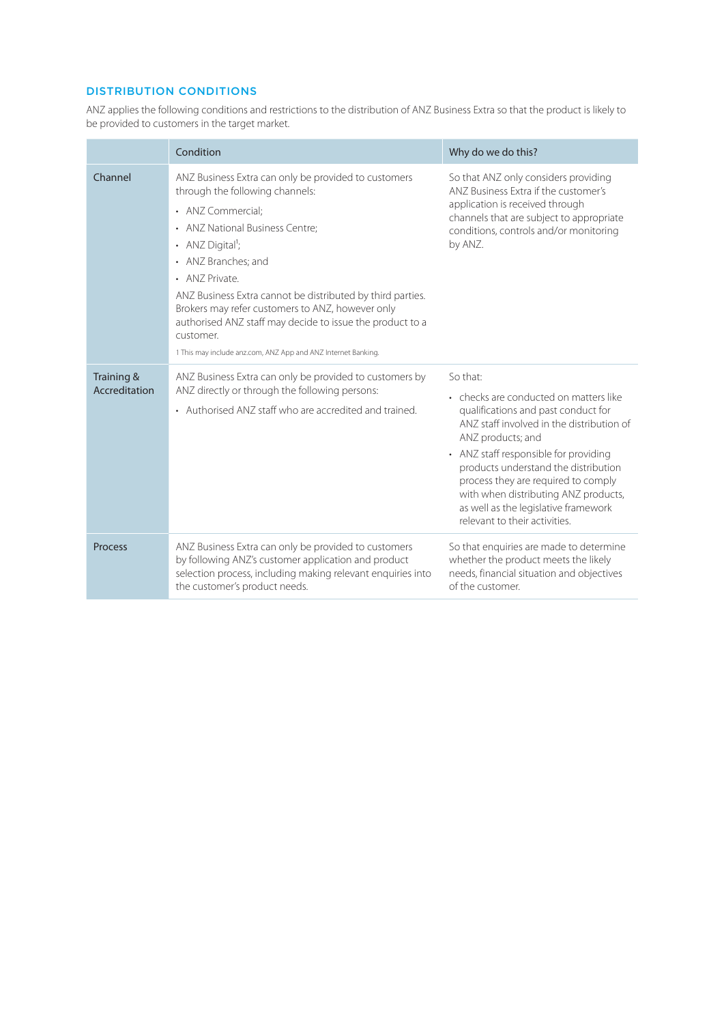# DISTRIBUTION CONDITIONS

ANZ applies the following conditions and restrictions to the distribution of ANZ Business Extra so that the product is likely to be provided to customers in the target market.

|                             | Condition                                                                                                                                                                                                                                                                                                                                                                                                                                                                            | Why do we do this?                                                                                                                                                                                                                                                                                                                                                                                   |
|-----------------------------|--------------------------------------------------------------------------------------------------------------------------------------------------------------------------------------------------------------------------------------------------------------------------------------------------------------------------------------------------------------------------------------------------------------------------------------------------------------------------------------|------------------------------------------------------------------------------------------------------------------------------------------------------------------------------------------------------------------------------------------------------------------------------------------------------------------------------------------------------------------------------------------------------|
| Channel                     | ANZ Business Extra can only be provided to customers<br>through the following channels:<br>• ANZ Commercial:<br>• ANZ National Business Centre;<br>• ANZ Digital <sup>1</sup> ;<br>• ANZ Branches; and<br>• ANZ Private<br>ANZ Business Extra cannot be distributed by third parties.<br>Brokers may refer customers to ANZ, however only<br>authorised ANZ staff may decide to issue the product to a<br>customer.<br>1 This may include anz.com, ANZ App and ANZ Internet Banking. | So that ANZ only considers providing<br>ANZ Business Extra if the customer's<br>application is received through<br>channels that are subject to appropriate<br>conditions, controls and/or monitoring<br>by ANZ.                                                                                                                                                                                     |
| Training &<br>Accreditation | ANZ Business Extra can only be provided to customers by<br>ANZ directly or through the following persons:<br>• Authorised ANZ staff who are accredited and trained.                                                                                                                                                                                                                                                                                                                  | So that:<br>• checks are conducted on matters like<br>qualifications and past conduct for<br>ANZ staff involved in the distribution of<br>ANZ products; and<br>• ANZ staff responsible for providing<br>products understand the distribution<br>process they are required to comply<br>with when distributing ANZ products,<br>as well as the legislative framework<br>relevant to their activities. |
| <b>Process</b>              | ANZ Business Extra can only be provided to customers<br>by following ANZ's customer application and product<br>selection process, including making relevant enquiries into<br>the customer's product needs.                                                                                                                                                                                                                                                                          | So that enquiries are made to determine<br>whether the product meets the likely<br>needs, financial situation and objectives<br>of the customer.                                                                                                                                                                                                                                                     |